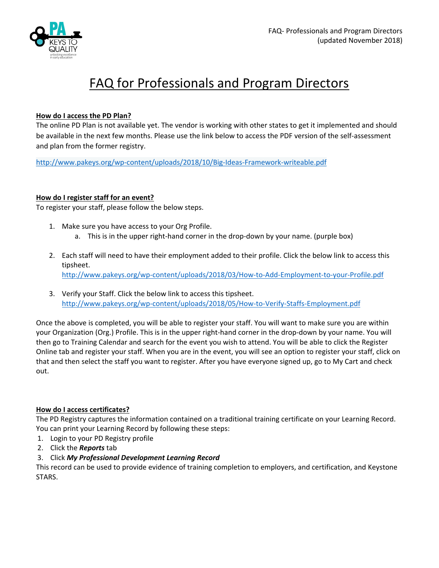

# FAQ for Professionals and Program Directors

# **How do I access the PD Plan?**

The online PD Plan is not available yet. The vendor is working with other states to get it implemented and should be available in the next few months. Please use the link below to access the PDF version of the self‐assessment and plan from the former registry.

http://www.pakeys.org/wp‐content/uploads/2018/10/Big‐Ideas‐Framework‐writeable.pdf

# **How do I register staff for an event?**

To register your staff, please follow the below steps.

- 1. Make sure you have access to your Org Profile. a. This is in the upper right-hand corner in the drop-down by your name. (purple box)
- 2. Each staff will need to have their employment added to their profile. Click the below link to access this tipsheet. http://www.pakeys.org/wp‐content/uploads/2018/03/How‐to‐Add‐Employment‐to‐your‐Profile.pdf
- 3. Verify your Staff. Click the below link to access this tipsheet. http://www.pakeys.org/wp‐content/uploads/2018/05/How‐to‐Verify‐Staffs‐Employment.pdf

Once the above is completed, you will be able to register your staff. You will want to make sure you are within your Organization (Org.) Profile. This is in the upper right-hand corner in the drop-down by your name. You will then go to Training Calendar and search for the event you wish to attend. You will be able to click the Register Online tab and register your staff. When you are in the event, you will see an option to register your staff, click on that and then select the staff you want to register. After you have everyone signed up, go to My Cart and check out.

#### **How do I access certificates?**

The PD Registry captures the information contained on a traditional training certificate on your Learning Record. You can print your Learning Record by following these steps:

- 1. Login to your PD Registry profile
- 2. Click the *Reports* tab
- 3. Click *My Professional Development Learning Record*

This record can be used to provide evidence of training completion to employers, and certification, and Keystone STARS.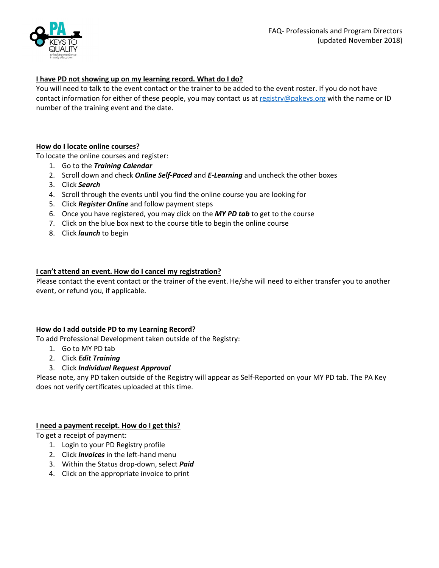

# **I have PD not showing up on my learning record. What do I do?**

You will need to talk to the event contact or the trainer to be added to the event roster. If you do not have contact information for either of these people, you may contact us at registry@pakeys.org with the name or ID number of the training event and the date.

# **How do I locate online courses?**

To locate the online courses and register:

- 1. Go to the *Training Calendar*
- 2. Scroll down and check *Online Self‐Paced* and *E‐Learning* and uncheck the other boxes
- 3. Click *Search*
- 4. Scroll through the events until you find the online course you are looking for
- 5. Click *Register Online* and follow payment steps
- 6. Once you have registered, you may click on the *MY PD tab* to get to the course
- 7. Click on the blue box next to the course title to begin the online course
- 8. Click *launch* to begin

# **I can't attend an event. How do I cancel my registration?**

Please contact the event contact or the trainer of the event. He/she will need to either transfer you to another event, or refund you, if applicable.

# **How do I add outside PD to my Learning Record?**

To add Professional Development taken outside of the Registry:

- 1. Go to MY PD tab
- 2. Click *Edit Training*
- 3. Click *Individual Request Approval*

Please note, any PD taken outside of the Registry will appear as Self‐Reported on your MY PD tab. The PA Key does not verify certificates uploaded at this time.

#### **I need a payment receipt. How do I get this?**

To get a receipt of payment:

- 1. Login to your PD Registry profile
- 2. Click *Invoices* in the left‐hand menu
- 3. Within the Status drop‐down, select *Paid*
- 4. Click on the appropriate invoice to print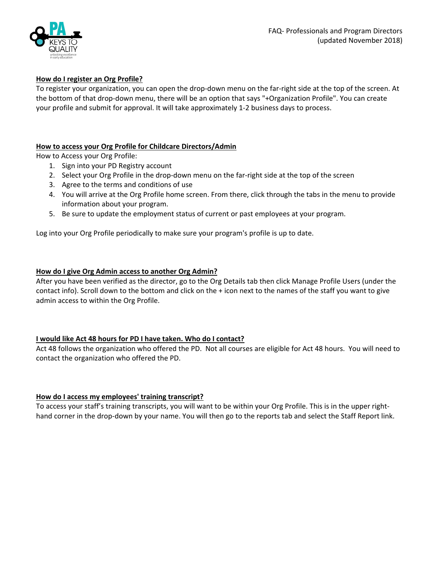

# **How do I register an Org Profile?**

To register your organization, you can open the drop‐down menu on the far‐right side at the top of the screen. At the bottom of that drop-down menu, there will be an option that says "+Organization Profile". You can create your profile and submit for approval. It will take approximately 1‐2 business days to process.

# **How to access your Org Profile for Childcare Directors/Admin**

How to Access your Org Profile:

- 1. Sign into your PD Registry account
- 2. Select your Org Profile in the drop-down menu on the far-right side at the top of the screen
- 3. Agree to the terms and conditions of use
- 4. You will arrive at the Org Profile home screen. From there, click through the tabs in the menu to provide information about your program.
- 5. Be sure to update the employment status of current or past employees at your program.

Log into your Org Profile periodically to make sure your program's profile is up to date.

# **How do I give Org Admin access to another Org Admin?**

After you have been verified as the director, go to the Org Details tab then click Manage Profile Users (under the contact info). Scroll down to the bottom and click on the + icon next to the names of the staff you want to give admin access to within the Org Profile.

# **I would like Act 48 hours for PD I have taken. Who do I contact?**

Act 48 follows the organization who offered the PD. Not all courses are eligible for Act 48 hours. You will need to contact the organization who offered the PD.

# **How do I access my employees' training transcript?**

To access your staff's training transcripts, you will want to be within your Org Profile. This is in the upper right‐ hand corner in the drop-down by your name. You will then go to the reports tab and select the Staff Report link.